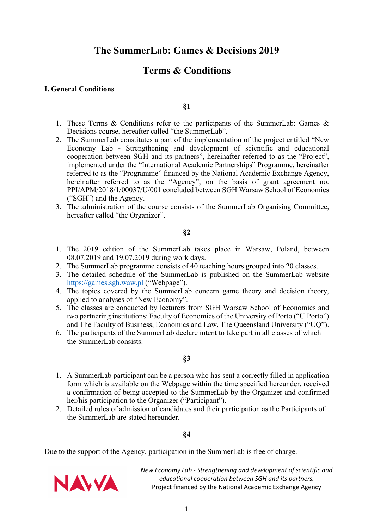# **Terms & Conditions**

## **I. General Conditions**

### **§1**

- 1. These Terms & Conditions refer to the participants of the SummerLab: Games & Decisions course, hereafter called "the SummerLab".
- 2. The SummerLab constitutes a part of the implementation of the project entitled "New Economy Lab - Strengthening and development of scientific and educational cooperation between SGH and its partners", hereinafter referred to as the "Project", implemented under the "International Academic Partnerships" Programme, hereinafter referred to as the "Programme" financed by the National Academic Exchange Agency, hereinafter referred to as the "Agency", on the basis of grant agreement no. PPI/APM/2018/1/00037/U/001 concluded between SGH Warsaw School of Economics ("SGH") and the Agency.
- 3. The administration of the course consists of the SummerLab Organising Committee, hereafter called "the Organizer".

#### **§2**

- 1. The 2019 edition of the SummerLab takes place in Warsaw, Poland, between 08.07.2019 and 19.07.2019 during work days.
- 2. The SummerLab programme consists of 40 teaching hours grouped into 20 classes.
- 3. The detailed schedule of the SummerLab is published on the SummerLab website https://games.sgh.waw.pl ("Webpage").
- 4. The topics covered by the SummerLab concern game theory and decision theory, applied to analyses of "New Economy".
- 5. The classes are conducted by lecturers from SGH Warsaw School of Economics and two partnering institutions: Faculty of Economics of the University of Porto ("U.Porto") and The Faculty of Business, Economics and Law, The Queensland University ("UQ").
- 6. The participants of the SummerLab declare intent to take part in all classes of which the SummerLab consists.

# **§3**

- 1. A SummerLab participant can be a person who has sent a correctly filled in application form which is available on the Webpage within the time specified hereunder, received a confirmation of being accepted to the SummerLab by the Organizer and confirmed her/his participation to the Organizer ("Participant").
- 2. Detailed rules of admission of candidates and their participation as the Participants of the SummerLab are stated hereunder.

# **§4**

Due to the support of the Agency, participation in the SummerLab is free of charge.

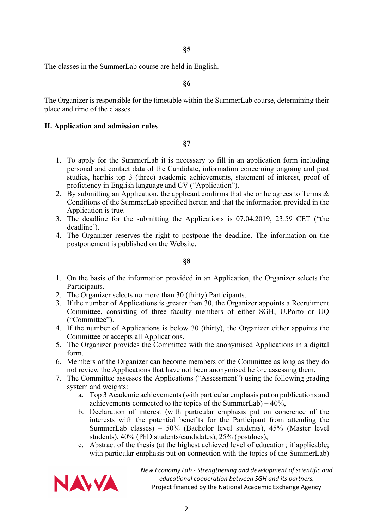**§5**

The classes in the SummerLab course are held in English.

**§6**

The Organizer is responsible for the timetable within the SummerLab course, determining their place and time of the classes.

#### **II. Application and admission rules**

**§7**

- 1. To apply for the SummerLab it is necessary to fill in an application form including personal and contact data of the Candidate, information concerning ongoing and past studies, her/his top 3 (three) academic achievements, statement of interest, proof of proficiency in English language and CV ("Application").
- 2. By submitting an Application, the applicant confirms that she or he agrees to Terms & Conditions of the SummerLab specified herein and that the information provided in the Application is true.
- 3. The deadline for the submitting the Applications is 07.04.2019, 23:59 CET ("the deadline').
- 4. The Organizer reserves the right to postpone the deadline. The information on the postponement is published on the Website.

**§8**

- 1. On the basis of the information provided in an Application, the Organizer selects the Participants.
- 2. The Organizer selects no more than 30 (thirty) Participants.
- 3. If the number of Applications is greater than 30, the Organizer appoints a Recruitment Committee, consisting of three faculty members of either SGH, U.Porto or UQ ("Committee").
- 4. If the number of Applications is below 30 (thirty), the Organizer either appoints the Committee or accepts all Applications.
- 5. The Organizer provides the Committee with the anonymised Applications in a digital form.
- 6. Members of the Organizer can become members of the Committee as long as they do not review the Applications that have not been anonymised before assessing them.
- 7. The Committee assesses the Applications ("Assessment") using the following grading system and weights:
	- a. Top 3 Academic achievements (with particular emphasis put on publications and achievements connected to the topics of the SummerLab) –  $40\%$ .
	- b. Declaration of interest (with particular emphasis put on coherence of the interests with the potential benefits for the Participant from attending the SummerLab classes) – 50% (Bachelor level students), 45% (Master level students), 40% (PhD students/candidates), 25% (postdocs),
	- c. Abstract of the thesis (at the highest achieved level of education; if applicable; with particular emphasis put on connection with the topics of the SummerLab)

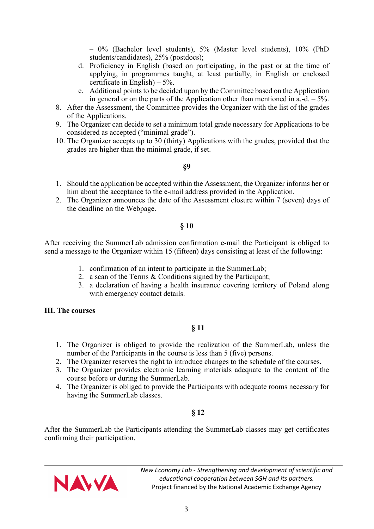– 0% (Bachelor level students), 5% (Master level students), 10% (PhD students/candidates), 25% (postdocs);

- d. Proficiency in English (based on participating, in the past or at the time of applying, in programmes taught, at least partially, in English or enclosed certificate in English $) - 5\%$ .
- e. Additional points to be decided upon by the Committee based on the Application in general or on the parts of the Application other than mentioned in a.-d.  $-5\%$ .
- 8. After the Assessment, the Committee provides the Organizer with the list of the grades of the Applications.
- 9. The Organizer can decide to set a minimum total grade necessary for Applications to be considered as accepted ("minimal grade").
- 10. The Organizer accepts up to 30 (thirty) Applications with the grades, provided that the grades are higher than the minimal grade, if set.

#### **§9**

- 1. Should the application be accepted within the Assessment, the Organizer informs her or him about the acceptance to the e-mail address provided in the Application.
- 2. The Organizer announces the date of the Assessment closure within 7 (seven) days of the deadline on the Webpage.

## **§ 10**

After receiving the SummerLab admission confirmation e-mail the Participant is obliged to send a message to the Organizer within 15 (fifteen) days consisting at least of the following:

- 1. confirmation of an intent to participate in the SummerLab;
- 2. a scan of the Terms & Conditions signed by the Participant;
- 3. a declaration of having a health insurance covering territory of Poland along with emergency contact details.

#### **III. The courses**

# **§ 11**

- 1. The Organizer is obliged to provide the realization of the SummerLab, unless the number of the Participants in the course is less than 5 (five) persons.
- 2. The Organizer reserves the right to introduce changes to the schedule of the courses.
- 3. The Organizer provides electronic learning materials adequate to the content of the course before or during the SummerLab.
- 4. The Organizer is obliged to provide the Participants with adequate rooms necessary for having the SummerLab classes.

# **§ 12**

After the SummerLab the Participants attending the SummerLab classes may get certificates confirming their participation.

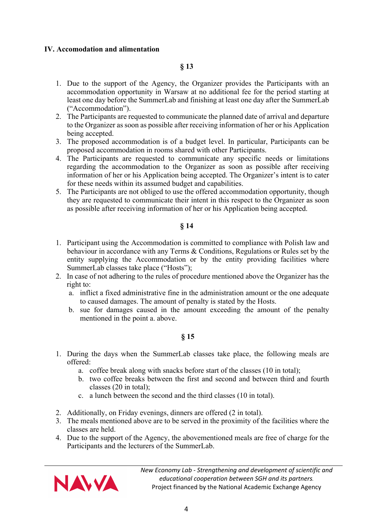#### **IV. Accomodation and alimentation**

# **§ 13**

- 1. Due to the support of the Agency, the Organizer provides the Participants with an accommodation opportunity in Warsaw at no additional fee for the period starting at least one day before the SummerLab and finishing at least one day after the SummerLab ("Accommodation").
- 2. The Participants are requested to communicate the planned date of arrival and departure to the Organizer as soon as possible after receiving information of her or his Application being accepted.
- 3. The proposed accommodation is of a budget level. In particular, Participants can be proposed accommodation in rooms shared with other Participants.
- 4. The Participants are requested to communicate any specific needs or limitations regarding the accommodation to the Organizer as soon as possible after receiving information of her or his Application being accepted. The Organizer's intent is to cater for these needs within its assumed budget and capabilities.
- 5. The Participants are not obliged to use the offered accommodation opportunity, though they are requested to communicate their intent in this respect to the Organizer as soon as possible after receiving information of her or his Application being accepted.

# **§ 14**

- 1. Participant using the Accommodation is committed to compliance with Polish law and behaviour in accordance with any Terms & Conditions, Regulations or Rules set by the entity supplying the Accommodation or by the entity providing facilities where SummerLab classes take place ("Hosts");
- 2. In case of not adhering to the rules of procedure mentioned above the Organizer has the right to:
	- a. inflict a fixed administrative fine in the administration amount or the one adequate to caused damages. The amount of penalty is stated by the Hosts.
	- b. sue for damages caused in the amount exceeding the amount of the penalty mentioned in the point a. above.

#### **§ 15**

- 1. During the days when the SummerLab classes take place, the following meals are offered:
	- a. coffee break along with snacks before start of the classes (10 in total);
	- b. two coffee breaks between the first and second and between third and fourth classes (20 in total);
	- c. a lunch between the second and the third classes (10 in total).
- 2. Additionally, on Friday evenings, dinners are offered (2 in total).
- 3. The meals mentioned above are to be served in the proximity of the facilities where the classes are held.
- 4. Due to the support of the Agency, the abovementioned meals are free of charge for the Participants and the lecturers of the SummerLab.

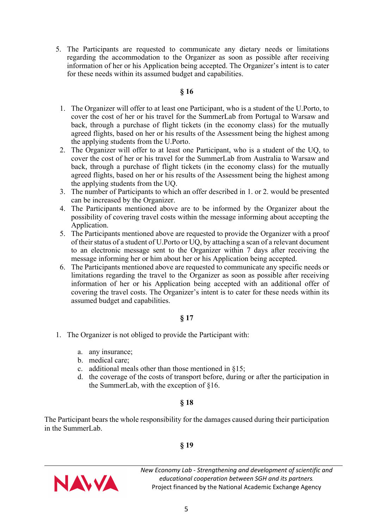5. The Participants are requested to communicate any dietary needs or limitations regarding the accommodation to the Organizer as soon as possible after receiving information of her or his Application being accepted. The Organizer's intent is to cater for these needs within its assumed budget and capabilities.

### **§ 16**

- 1. The Organizer will offer to at least one Participant, who is a student of the U.Porto, to cover the cost of her or his travel for the SummerLab from Portugal to Warsaw and back, through a purchase of flight tickets (in the economy class) for the mutually agreed flights, based on her or his results of the Assessment being the highest among the applying students from the U.Porto.
- 2. The Organizer will offer to at least one Participant, who is a student of the UQ, to cover the cost of her or his travel for the SummerLab from Australia to Warsaw and back, through a purchase of flight tickets (in the economy class) for the mutually agreed flights, based on her or his results of the Assessment being the highest among the applying students from the UQ.
- 3. The number of Participants to which an offer described in 1. or 2. would be presented can be increased by the Organizer.
- 4. The Participants mentioned above are to be informed by the Organizer about the possibility of covering travel costs within the message informing about accepting the Application.
- 5. The Participants mentioned above are requested to provide the Organizer with a proof of their status of a student of U.Porto or UQ, by attaching a scan of a relevant document to an electronic message sent to the Organizer within 7 days after receiving the message informing her or him about her or his Application being accepted.
- 6. The Participants mentioned above are requested to communicate any specific needs or limitations regarding the travel to the Organizer as soon as possible after receiving information of her or his Application being accepted with an additional offer of covering the travel costs. The Organizer's intent is to cater for these needs within its assumed budget and capabilities.

#### **§ 17**

- 1. The Organizer is not obliged to provide the Participant with:
	- a. any insurance;
	- b. medical care;
	- c. additional meals other than those mentioned in §15;
	- d. the coverage of the costs of transport before, during or after the participation in the SummerLab, with the exception of §16.

# **§ 18**

The Participant bears the whole responsibility for the damages caused during their participation in the SummerLab.

# **§ 19**